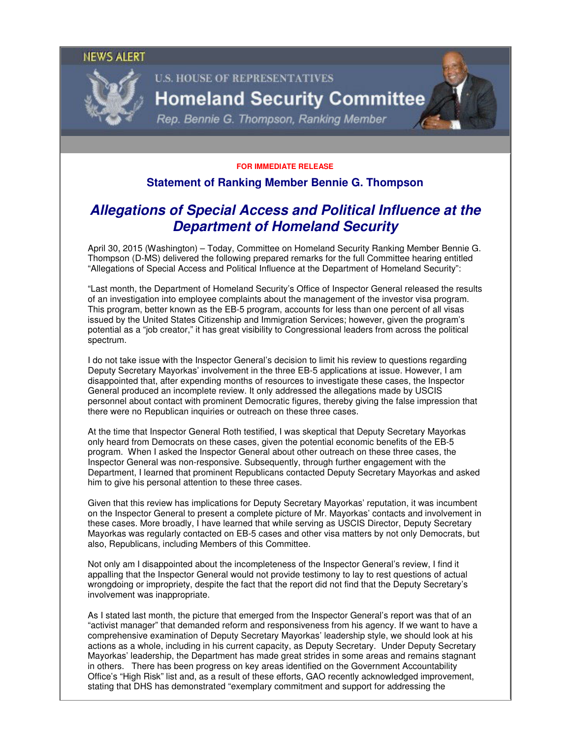### **NEWS ALERT**



# **U.S. HOUSE OF REPRESENTATIVES Homeland Security Committee**

Rep. Bennie G. Thompson, Ranking Member

#### **FOR IMMEDIATE RELEASE**

## **Statement of Ranking Member Bennie G. Thompson**

## **Allegations of Special Access and Political Influence at the Department of Homeland Security**

April 30, 2015 (Washington) – Today, Committee on Homeland Security Ranking Member Bennie G. Thompson (D-MS) delivered the following prepared remarks for the full Committee hearing entitled "Allegations of Special Access and Political Influence at the Department of Homeland Security":

"Last month, the Department of Homeland Security's Office of Inspector General released the results of an investigation into employee complaints about the management of the investor visa program. This program, better known as the EB-5 program, accounts for less than one percent of all visas issued by the United States Citizenship and Immigration Services; however, given the program's potential as a "job creator," it has great visibility to Congressional leaders from across the political spectrum.

I do not take issue with the Inspector General's decision to limit his review to questions regarding Deputy Secretary Mayorkas' involvement in the three EB-5 applications at issue. However, I am disappointed that, after expending months of resources to investigate these cases, the Inspector General produced an incomplete review. It only addressed the allegations made by USCIS personnel about contact with prominent Democratic figures, thereby giving the false impression that there were no Republican inquiries or outreach on these three cases.

At the time that Inspector General Roth testified, I was skeptical that Deputy Secretary Mayorkas only heard from Democrats on these cases, given the potential economic benefits of the EB-5 program. When I asked the Inspector General about other outreach on these three cases, the Inspector General was non-responsive. Subsequently, through further engagement with the Department, I learned that prominent Republicans contacted Deputy Secretary Mayorkas and asked him to give his personal attention to these three cases.

Given that this review has implications for Deputy Secretary Mayorkas' reputation, it was incumbent on the Inspector General to present a complete picture of Mr. Mayorkas' contacts and involvement in these cases. More broadly, I have learned that while serving as USCIS Director, Deputy Secretary Mayorkas was regularly contacted on EB-5 cases and other visa matters by not only Democrats, but also, Republicans, including Members of this Committee.

Not only am I disappointed about the incompleteness of the Inspector General's review, I find it appalling that the Inspector General would not provide testimony to lay to rest questions of actual wrongdoing or impropriety, despite the fact that the report did not find that the Deputy Secretary's involvement was inappropriate.

As I stated last month, the picture that emerged from the Inspector General's report was that of an "activist manager" that demanded reform and responsiveness from his agency. If we want to have a comprehensive examination of Deputy Secretary Mayorkas' leadership style, we should look at his actions as a whole, including in his current capacity, as Deputy Secretary. Under Deputy Secretary Mayorkas' leadership, the Department has made great strides in some areas and remains stagnant in others. There has been progress on key areas identified on the Government Accountability Office's "High Risk" list and, as a result of these efforts, GAO recently acknowledged improvement, stating that DHS has demonstrated "exemplary commitment and support for addressing the